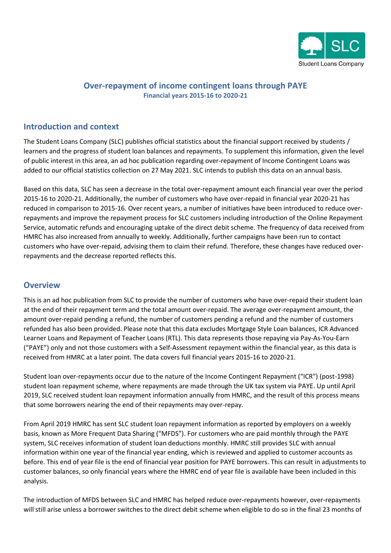

### **Over-repayment of income contingent loans through PAYE Financial years 2015-16 to 2020-21**

# **Introduction and context**

The Student Loans Company (SLC) publishes official statistics about the financial support received by students / learners and the progress of student loan balances and repayments. To supplement this information, given the level of public interest in this area, an ad hoc publication regarding over-repayment of Income Contingent Loans was added to our official statistics collection on 27 May 2021. SLC intends to publish this data on an annual basis.

Based on this data, SLC has seen a decrease in the total over-repayment amount each financial year over the period 2015-16 to 2020-21. Additionally, the number of customers who have over-repaid in financial year 2020-21 has reduced in comparison to 2015-16. Over recent years, a number of initiatives have been introduced to reduce overrepayments and improve the repayment process for SLC customers including introduction of the Online Repayment Service, automatic refunds and encouraging uptake of the direct debit scheme. The frequency of data received from HMRC has also increased from annually to weekly. Additionally, further campaigns have been run to contact customers who have over-repaid, advising them to claim their refund. Therefore, these changes have reduced overrepayments and the decrease reported reflects this.

#### **Overview**

This is an ad hoc publication from SLC to provide the number of customers who have over-repaid their student loan at the end of their repayment term and the total amount over-repaid. The average over-repayment amount, the amount over-repaid pending a refund, the number of customers pending a refund and the number of customers refunded has also been provided. Please note that this data excludes Mortgage Style Loan balances, ICR Advanced Learner Loans and Repayment of Teacher Loans (RTL). This data represents those repaying via Pay-As-You-Earn ("PAYE") only and not those customers with a Self-Assessment repayment within the financial year, as this data is received from HMRC at a later point. The data covers full financial years 2015-16 to 2020-21.

Student loan over-repayments occur due to the nature of the Income Contingent Repayment ("ICR") (post-1998) student loan repayment scheme, where repayments are made through the UK tax system via PAYE. Up until April 2019, SLC received student loan repayment information annually from HMRC, and the result of this process means that some borrowers nearing the end of their repayments may over-repay.

From April 2019 HMRC has sent SLC student loan repayment information as reported by employers on a weekly basis, known as More Frequent Data Sharing ("MFDS"). For customers who are paid monthly through the PAYE system, SLC receives information of student loan deductions monthly. HMRC still provides SLC with annual information within one year of the financial year ending, which is reviewed and applied to customer accounts as before. This end of year file is the end of financial year position for PAYE borrowers. This can result in adjustments to customer balances, so only financial years where the HMRC end of year file is available have been included in this analysis.

The introduction of MFDS between SLC and HMRC has helped reduce over-repayments however, over-repayments will still arise unless a borrower switches to the direct debit scheme when eligible to do so in the final 23 months of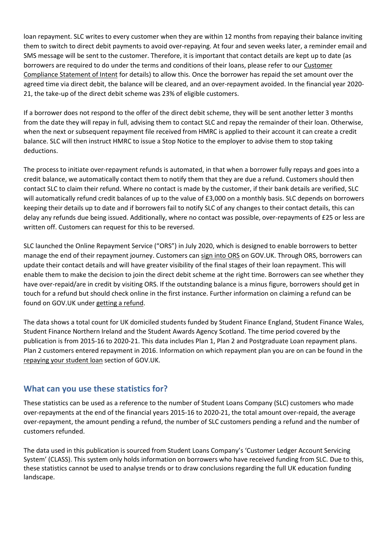loan repayment. SLC writes to every customer when they are within 12 months from repaying their balance inviting them to switch to direct debit payments to avoid over-repaying. At four and seven weeks later, a reminder email and SMS message will be sent to the customer. Therefore, it is important that contact details are kept up to date (as borrowers are required to do under the terms and conditions of their loans, please refer to ou[r Customer](https://www.gov.uk/government/publications/slc-customer-compliance-statement-of-intent/slc-customer-compliance-statement-of-intent#customer-commitment-by-slc)  [Compliance Statement of Intent](https://www.gov.uk/government/publications/slc-customer-compliance-statement-of-intent/slc-customer-compliance-statement-of-intent#customer-commitment-by-slc) for details) to allow this. Once the borrower has repaid the set amount over the agreed time via direct debit, the balance will be cleared, and an over-repayment avoided. In the financial year 2020- 21, the take-up of the direct debit scheme was 23% of eligible customers.

If a borrower does not respond to the offer of the direct debit scheme, they will be sent another letter 3 months from the date they will repay in full, advising them to contact SLC and repay the remainder of their loan. Otherwise, when the next or subsequent repayment file received from HMRC is applied to their account it can create a credit balance. SLC will then instruct HMRC to issue a Stop Notice to the employer to advise them to stop taking deductions.

The process to initiate over-repayment refunds is automated, in that when a borrower fully repays and goes into a credit balance, we automatically contact them to notify them that they are due a refund. Customers should then contact SLC to claim their refund. Where no contact is made by the customer, if their bank details are verified, SLC will automatically refund credit balances of up to the value of £3,000 on a monthly basis. SLC depends on borrowers keeping their details up to date and if borrowers fail to notify SLC of any changes to their contact details, this can delay any refunds due being issued. Additionally, where no contact was possible, over-repayments of £25 or less are written off. Customers can request for this to be reversed.

SLC launched the Online Repayment Service ("ORS") in July 2020, which is designed to enable borrowers to better manage the end of their repayment journey. Customers can [sign into ORS](https://www.gov.uk/sign-in-to-manage-your-student-loan-balance) on GOV.UK. Through ORS, borrowers can update their contact details and will have greater visibility of the final stages of their loan repayment. This will enable them to make the decision to join the direct debit scheme at the right time. Borrowers can see whether they have over-repaid/are in credit by visiting ORS. If the outstanding balance is a minus figure, borrowers should get in touch for a refund but should check online in the first instance. Further information on claiming a refund can be found on GOV.UK unde[r getting a refund.](https://www.gov.uk/repaying-your-student-loan/getting-a-refund)

The data shows a total count for UK domiciled students funded by Student Finance England, Student Finance Wales, Student Finance Northern Ireland and the Student Awards Agency Scotland. The time period covered by the publication is from 2015-16 to 2020-21. This data includes Plan 1, Plan 2 and Postgraduate Loan repayment plans. Plan 2 customers entered repayment in 2016. Information on which repayment plan you are on can be found in the [repaying your student loan](https://www.gov.uk/repaying-your-student-loan/which-repayment-plan-you-are-on) section of GOV.UK.

## **What can you use these statistics for?**

These statistics can be used as a reference to the number of Student Loans Company (SLC) customers who made over-repayments at the end of the financial years 2015-16 to 2020-21, the total amount over-repaid, the average over-repayment, the amount pending a refund, the number of SLC customers pending a refund and the number of customers refunded.

The data used in this publication is sourced from Student Loans Company's 'Customer Ledger Account Servicing System' (CLASS). This system only holds information on borrowers who have received funding from SLC. Due to this, these statistics cannot be used to analyse trends or to draw conclusions regarding the full UK education funding landscape.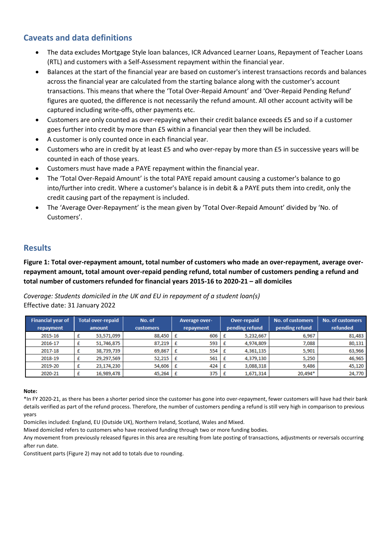# **Caveats and data definitions**

- The data excludes Mortgage Style loan balances, ICR Advanced Learner Loans, Repayment of Teacher Loans (RTL) and customers with a Self-Assessment repayment within the financial year.
- Balances at the start of the financial year are based on customer's interest transactions records and balances across the financial year are calculated from the starting balance along with the customer's account transactions. This means that where the 'Total Over-Repaid Amount' and 'Over-Repaid Pending Refund' figures are quoted, the difference is not necessarily the refund amount. All other account activity will be captured including write-offs, other payments etc.
- Customers are only counted as over-repaying when their credit balance exceeds £5 and so if a customer goes further into credit by more than £5 within a financial year then they will be included.
- A customer is only counted once in each financial year.
- Customers who are in credit by at least £5 and who over-repay by more than £5 in successive years will be counted in each of those years.
- Customers must have made a PAYE repayment within the financial year.
- The 'Total Over-Repaid Amount' is the total PAYE repaid amount causing a customer's balance to go into/further into credit. Where a customer's balance is in debit & a PAYE puts them into credit, only the credit causing part of the repayment is included.
- The 'Average Over-Repayment' is the mean given by 'Total Over-Repaid Amount' divided by 'No. of Customers'.

## **Results**

**Figure 1: Total over-repayment amount, total number of customers who made an over-repayment, average overrepayment amount, total amount over-repaid pending refund, total number of customers pending a refund and total number of customers refunded for financial years 2015-16 to 2020-21 – all domiciles**

*Coverage: Students domiciled in the UK and EU in repayment of a student loan(s)* Effective date: 31 January 2022

| <b>Financial year of</b> | <b>Total over-repaid</b> |            | No. of           | <b>Average over-</b> |     | Over-repaid |                | <b>No. of customers</b> | <b>No. of customers</b> |
|--------------------------|--------------------------|------------|------------------|----------------------|-----|-------------|----------------|-------------------------|-------------------------|
| repayment                | amount                   |            | <b>customers</b> | repayment            |     |             | pending refund | pending refund          | refunded                |
| 2015-16                  |                          | 53,571,099 | 88,450           |                      | 606 |             | 5,232,667      | 6,967                   | 81,483                  |
| 2016-17                  |                          | 51,746,875 | 87,219           | £                    | 593 | Æ           | 4,974,809      | 7,088                   | 80,131                  |
| 2017-18                  |                          | 38,739,739 | 69,867           | £                    | 554 | £           | 4,361,135      | 5.901                   | 63,966                  |
| 2018-19                  |                          | 29,297,569 | 52,215           | £                    | 561 | Æ           | 4,379,130      | 5,250                   | 46,965                  |
| 2019-20                  |                          | 23,174,230 | 54,606           | £                    | 424 | £           | 3,088,318      | 9.486                   | 45,120                  |
| 2020-21                  |                          | 16,989,478 | 45,264           |                      | 375 |             | 1,671,314      | 20,494*                 | 24,770                  |

#### **Note:**

\*In FY 2020-21, as there has been a shorter period since the customer has gone into over-repayment, fewer customers will have had their bank details verified as part of the refund process. Therefore, the number of customers pending a refund is still very high in comparison to previous years

Domiciles included: England, EU (Outside UK), Northern Ireland, Scotland, Wales and Mixed.

Mixed domiciled refers to customers who have received funding through two or more funding bodies.

Any movement from previously released figures in this area are resulting from late posting of transactions, adjustments or reversals occurring after run date.

Constituent parts (Figure 2) may not add to totals due to rounding.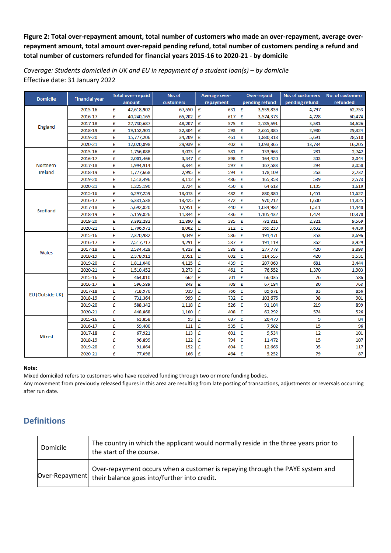### **Figure 2: Total over-repayment amount, total number of customers who made an over-repayment, average overrepayment amount, total amount over-repaid pending refund, total number of customers pending a refund and total number of customers refunded for financial years 2015-16 to 2020-21 - by domicile**

*Coverage: Students domiciled in UK and EU in repayment of a student loan(s) – by domicile* Effective date: 31 January 2022

| <b>Domicile</b> | <b>Financial year</b> |        | <b>Total over-repaid</b> | No. of    |   | <b>Average over-</b> |   | <b>Over-repaid</b> | No. of customers | <b>No. of customers</b> |  |
|-----------------|-----------------------|--------|--------------------------|-----------|---|----------------------|---|--------------------|------------------|-------------------------|--|
|                 |                       | amount |                          | customers |   | repayment            |   | pending refund     | pending refund   | refunded                |  |
| England         | 2015-16               | £      | 42,618,902               | 67,550    | £ | 631                  | £ | 3,939,839          | 4,797            | 62,753                  |  |
|                 | 2016-17               | £      | 40,240,165               | 65,202    | £ | 617                  | £ | 3,574,373          | 4,728            | 60,474                  |  |
|                 | 2017-18               | £      | 27,730,687               | 48,207    | £ | 575                  | £ | 2,785,591          | 3,581            | 44,626                  |  |
|                 | 2018-19               | £      | 19,152,901               | 32,304    | £ | 593                  | £ | 2,665,885          | 2,980            | 29,324                  |  |
|                 | 2019-20               | £      | 15,777,206               | 34,209    | £ | 461                  | £ | 1,880,318          | 5,691            | 28,518                  |  |
|                 | 2020-21               | £      | 12,020,898               | 29,939    | £ | 402                  | £ | 1,093,365          | 13,734           | 16,205                  |  |
|                 | 2015-16               | £      | 1,756,088                | 3,023     | £ | 581                  | £ | 133,963            | 281              | 2,742                   |  |
|                 | 2016-17               | £      | 2,001,466                | 3,347     | £ | 598                  | £ | 164,420            | 303              | 3,044                   |  |
| Northern        | 2017-18               | £      | 1,994,914                | 3,344     | £ | 597                  | £ | 167,583            | 294              | 3,050                   |  |
| Ireland         | 2018-19               | £      | 1,777,668                | 2,995     | £ | 594                  | £ | 178,109            | 263              | 2,732                   |  |
|                 | 2019-20               | £      | 1,513,496                | 3,112     | £ | 486                  | £ | 165,358            | 539              | 2,573                   |  |
|                 | 2020-21               | £      | 1,225,190                | 2,724     | £ | 450                  | £ | 64,613             | 1,105            | 1,619                   |  |
|                 | 2015-16               | £      | 6,297,259                | 13,073    | £ | 482                  | £ | 880,880            | 1,451            | 11,622                  |  |
| Scotland        | 2016-17               | £      | 6,331,538                | 13,425    | £ | 472                  | £ | 970,212            | 1,600            | 11,825                  |  |
|                 | 2017-18               | £      | 5,692,820                | 12,951    | £ | 440                  | £ | 1,034,982          | 1,511            | 11,440                  |  |
|                 | 2018-19               | £      | 5,159,826                | 11,844    | £ | 436                  | £ | 1,105,432          | 1,474            | 10,370                  |  |
|                 | 2019-20               | £      | 3,392,282                | 11,890    | £ | 285                  | £ | 731,811            | 2,321            | 9,569                   |  |
|                 | 2020-21               | £      | 1,706,971                | 8,062     | £ | 212                  | £ | 369,239            | 3,632            | 4,430                   |  |
| Wales           | 2015-16               | £      | 2,370,982                | 4,049     | £ | 586                  | £ | 191,471            | 353              | 3,696                   |  |
|                 | 2016-17               | £      | 2,517,717                | 4,291     | £ | 587                  | £ | 191,119            | 362              | 3,929                   |  |
|                 | 2017-18               | £      | 2,534,428                | 4,313     | £ | 588                  | £ | 277,773            | 420              | 3,893                   |  |
|                 | 2018-19               | £      | 2,378,911                | 3,951     | £ | 602                  | £ | 314,555            | 420              | 3,531                   |  |
|                 | 2019-20               | £      | 1,811,040                | 4,125     | £ | 439                  | £ | 207,060            | 681              | 3,444                   |  |
|                 | 2020-21               | £      | 1,510,452                | 3,273     | £ | 461                  | £ | 76,552             | 1,370            | 1,903                   |  |
| EU (Outside UK) | 2015-16               | £      | 464,010                  | 662       | £ | 701                  | £ | 66,036             | 76               | 586                     |  |
|                 | 2016-17               | £      | 596,589                  | 843       | £ | 708                  | £ | 67,184             | 80               | 763                     |  |
|                 | 2017-18               | £      | 718,970                  | 939       | £ | 766                  | £ | 85,671             | 83               | 856                     |  |
|                 | 2018-19               | £      | 731,364                  | 999       | £ | 732                  | £ | 103,676            | 98               | 901                     |  |
|                 | 2019-20               | £      | 588,342                  | 1,118     | £ | 526                  | £ | 91,104             | 219              | 899                     |  |
|                 | 2020-21               | £      | 448,868                  | 1,100     | £ | 408                  | £ | 62,292             | 574              | 526                     |  |
| Mixed           | 2015-16               | £      | 63,858                   | 93        | £ | 687                  | £ | 20,479             | 9                | 84                      |  |
|                 | 2016-17               | £      | 59,400                   | 111       | £ | 535                  | £ | 7,502              | 15               | 96                      |  |
|                 | 2017-18               | £      | 67,921                   | 113       | £ | 601                  | £ | 9,534              | 12               | 101                     |  |
|                 | 2018-19               | £      | 96,899                   | 122       | £ | 794                  | £ | 11,472             | 15               | 107                     |  |
|                 | 2019-20               | £      | 91,864                   | 152       | £ | 604                  | £ | 12,666             | 35               | 117                     |  |
|                 | 2020-21               | £      | 77,098                   | 166       | £ | 464                  | £ | 5,252              | 79               | 87                      |  |

#### **Note:**

Mixed domiciled refers to customers who have received funding through two or more funding bodies.

Any movement from previously released figures in this area are resulting from late posting of transactions, adjustments or reversals occurring after run date.

## **Definitions**

| Domicile | The country in which the applicant would normally reside in the three years prior to<br>the start of the course.                             |
|----------|----------------------------------------------------------------------------------------------------------------------------------------------|
|          | Over-repayment occurs when a customer is repaying through the PAYE system and<br>Over-Repayment their balance goes into/further into credit. |